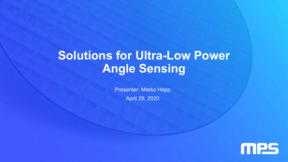# **Solutions for Ultra-Low Power Angle Sensing**

Presenter: Marko Hepp April 29, 2020

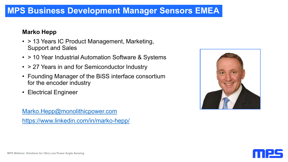#### **MPS Business Development Manager Sensors EMEA**

#### **Marko Hepp**

- > 13 Years IC Product Management, Marketing, Support and Sales
- > 10 Year Industrial Automation Software & Systems
- > 27 Years in and for Semiconductor Industry
- Founding Manager of the BiSS interface consortium for the encoder industry
- Electrical Engineer

[Marko.Hepp@monolithicpower.com](mailto:Marko.Hepp@monolithicpower.com) <https://www.linkedin.com/in/marko-hepp/>



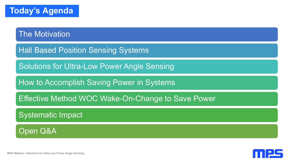The Motivation

Hall Based Position Sensing Systems

Solutions for Ultra-Low Power Angle Sensing

How to Accomplish Saving Power in Systems

Effective Method WOC Wake-On-Change to Save Power

Systematic Impact

Open Q&A

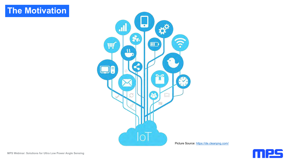## **The Motivation**



Picture Source: <https://de.cleanpng.com/>

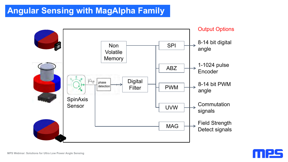## **Angular Sensing with MagAlpha Family**



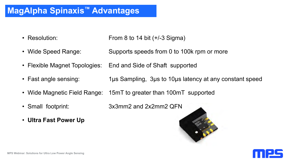## **MagAlpha Spinaxis™ Advantages**

- Resolution: From 8 to 14 bit (+/-3 Sigma)
- Wide Speed Range: Supports speeds from 0 to 100k rpm or more
- Flexible Magnet Topologies: End and Side of Shaft supported
- Fast angle sensing: 1µs Sampling, 3µs to 10µs latency at any constant speed
- Wide Magnetic Field Range: 15mT to greater than 100mT supported
- Small footprint: 3x3mm2 and 2x2mm2 QFN
- **Ultra Fast Power Up**



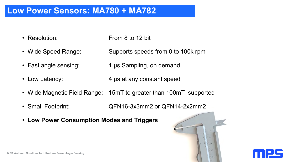#### **Low Power Sensors: MA780 + MA782**

- Resolution: From 8 to 12 bit
- Wide Speed Range: Supports speeds from 0 to 100k rpm
- Fast angle sensing: 1 µs Sampling, on demand,
- Low Latency:  $4 \mu s$  at any constant speed
- Wide Magnetic Field Range: 15mT to greater than 100mT supported
- Small Footprint: QFN16-3x3mm2 or QFN14-2x2mm2
- **Low Power Consumption Modes and Triggers**

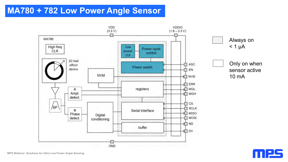## **MA780 + 782 Low Power Angle Sensor**



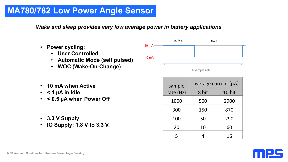## **MA780/782 Low Power Angle Sensor**

*Wake and sleep provides very low average power in battery applications*

- **Power cycling:**
	- **User Controlled**
	- **Automatic Mode (self pulsed)**
	- **WOC (Wake-On-Change)**



- **10 mA when Active**
- **< 1 µA in Idle**
- **< 0.5 µA when Power Off**
- **3.3 V Supply**
- **IO Supply: 1.8 V to 3.3 V.**

| sample    | average current $(\mu A)$ |        |  |  |  |  |
|-----------|---------------------------|--------|--|--|--|--|
| rate (Hz) | 8 bit                     | 10 bit |  |  |  |  |
| 1000      | 500                       | 2900   |  |  |  |  |
| 300       | 150                       | 870    |  |  |  |  |
| 100       | 50                        | 290    |  |  |  |  |
| 20        | 10                        | 60     |  |  |  |  |
| 5         |                           | 16     |  |  |  |  |

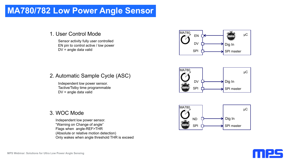#### **MA780/782 Low Power Angle Sensor**

#### 1. User Control Mode

Sensor activity fully user controlled EN pin to control active / low power  $DV =$  angle data valid SPI



#### 2. Automatic Sample Cycle (ASC)

Independent low power sensor. Tactive/Tstby time programmable DV = angle data valid

#### 3. WOC Mode

Independent low power sensor. "Warning on Change of angle" Flags when angle-REF>THR (Absolute or relative motion detection) Only wakes when angle threshold THR is exceed





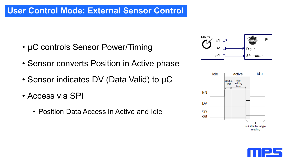## **User Control Mode: External Sensor Control**

- µC controls Sensor Power/Timing
- Sensor converts Position in Active phase
- Sensor indicates DV (Data Valid) to µC
- Access via SPI
	- Position Data Access in Active and Idle





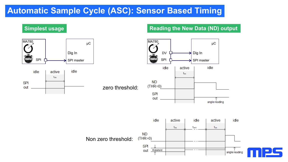## **Automatic Sample Cycle (ASC): Sensor Based Timing**



zero threshold:

#### **Simplest usage Superstrument State Controller State Reading the New Data (ND) output**



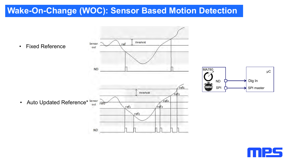## **Wake-On-Change (WOC): Sensor Based Motion Detection**



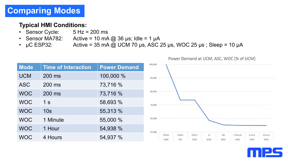#### **Typical HMI Conditions:**

- Sensor Cycle: 5 Hz = 200 ms
- Sensor MA782: Active = 10 mA  $@$  36 µs; Idle = 1 µA
- $\mu$ C ESP32: Active = 35 mA @ UCM 70  $\mu$ s, ASC 25  $\mu$ s, WOC 25  $\mu$ s; Sleep = 10  $\mu$ A

|             |                     |                     |         |                     |              |              |                  |                        | TOWER DEFINITION OF OCIVITATOLS AVOID TO OF OCIVIT |               |                |
|-------------|---------------------|---------------------|---------|---------------------|--------------|--------------|------------------|------------------------|----------------------------------------------------|---------------|----------------|
| <b>Mode</b> | Time of Interaction | <b>Power Demand</b> | 100,000 |                     |              |              |                  |                        |                                                    |               |                |
| <b>UCM</b>  | 200 ms              | 100,000 %           | 90,000  |                     |              |              |                  |                        |                                                    |               |                |
| <b>ASC</b>  | 200 ms              | 73,716 %            |         |                     |              |              |                  |                        |                                                    |               |                |
| <b>WOC</b>  | 200 ms              | 73,716 %            | 80,000  |                     |              |              |                  |                        |                                                    |               |                |
| <b>WOC</b>  | 1 <sub>s</sub>      | 58,693 %            | 70,000  |                     |              |              |                  |                        |                                                    |               |                |
| <b>WOC</b>  | 10 <sub>s</sub>     | 55,313 %            |         |                     |              |              |                  |                        |                                                    |               |                |
| <b>WOC</b>  | 1 Minute            | 55,000 %            | 60,000  |                     |              |              |                  |                        |                                                    |               |                |
| <b>WOC</b>  | 1 Hour              | 54,938 %            | 50,000  |                     |              |              |                  |                        |                                                    |               |                |
| <b>WOC</b>  | 4 Hours             | 54,937 %            |         | 200ms<br><b>UCM</b> | 200ms<br>ASC | 200ms<br>WOC | 15<br><b>WOC</b> | 10 <sub>s</sub><br>WOC | 1 Minute<br>WOC                                    | 1 Hour<br>WOC | 4 Hours<br>WOC |



Power Demand at LICM, ASC, WOC [% of LICM]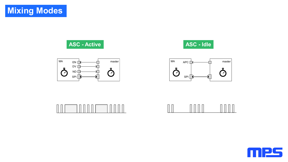**ASC - Active ASC - Idle**











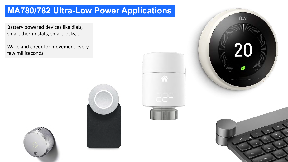## **MA780/782 Ultra-Low Power Applications**

Battery powered devices like dials, smart thermostats, smart locks, ...

Wake and check for movement every few milliseconds









nest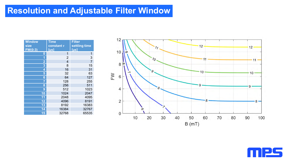#### **Resolution and Adjustable Filter Window**

| <b>Window</b><br>size<br>FW(0:3) | <b>Time</b><br>constant $\tau$<br>[ <sub>us</sub> ] | <b>Filter</b><br>settling time<br>[µs] |  |  |  |
|----------------------------------|-----------------------------------------------------|----------------------------------------|--|--|--|
| $\boldsymbol{0}$                 | 1                                                   | 1                                      |  |  |  |
| 1                                | $\overline{2}$                                      | 3                                      |  |  |  |
| $\overline{2}$                   | $\overline{4}$                                      | $\overline{7}$                         |  |  |  |
| $\overline{\mathbf{3}}$          | 8                                                   | 15                                     |  |  |  |
| 4                                | 16                                                  | 31                                     |  |  |  |
| 5                                | 32                                                  | 63                                     |  |  |  |
| 6                                | 64                                                  | 127                                    |  |  |  |
| $\overline{7}$                   | 128                                                 | 255                                    |  |  |  |
| 8                                | 256                                                 | 511                                    |  |  |  |
| 9                                | 512                                                 | 1023                                   |  |  |  |
| 10                               | 1024                                                | 2047                                   |  |  |  |
| 11                               | 2048                                                | 4095                                   |  |  |  |
| 12                               | 4096                                                | 8191                                   |  |  |  |
| 13                               | 8192                                                | 16383                                  |  |  |  |
| 14                               | 16384                                               | 32767                                  |  |  |  |
| 15                               | 32768                                               | 65535                                  |  |  |  |



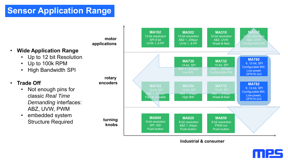## **Sensor Application Range**

**motor applications**

- **Wide Application Range**
	- Up to 12 bit Resolution
	- Up to 100k RPM
	- High Bandwidth SPI

#### • **Trade Off**

- Not enough pins for classic *Real Time Demanding* interfaces: ABZ, UVW, PWM
- embedded system Structure Required



#### **Industrial & consumer**

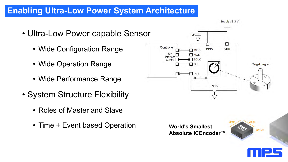## **Enabling Ultra-Low Power System Architecture**

- Ultra-Low Power capable Sensor
	- Wide Configuration Range
	- Wide Operation Range
	- Wide Performance Range
- System Structure Flexibility
	- Roles of Master and Slave
	- Time + Event based Operation



#### **World's Smallest Absolute ICEncoder™**